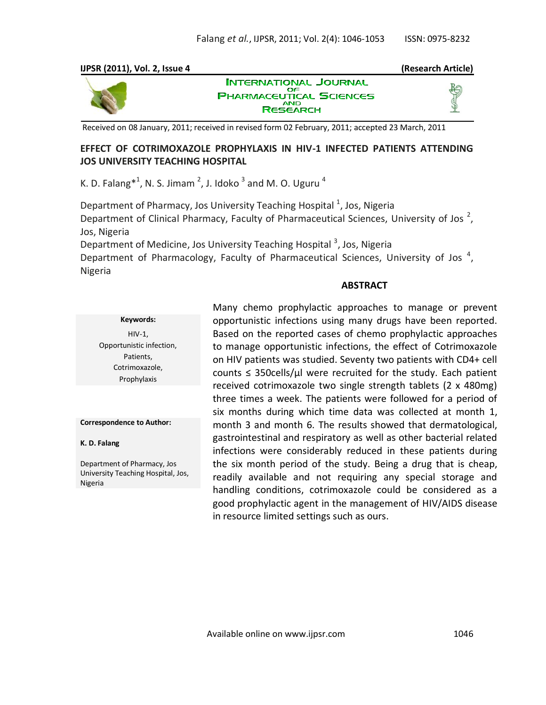# **IJPSR (2011), Vol. 2, Issue 4 (Research Article)**



**INTERNATIONAL JOURNAL PHARMACEUTICAL SCIENCES** AND<br>RESEARCH

Received on 08 January, 2011; received in revised form 02 February, 2011; accepted 23 March, 2011

## **EFFECT OF COTRIMOXAZOLE PROPHYLAXIS IN HIV-1 INFECTED PATIENTS ATTENDING JOS UNIVERSITY TEACHING HOSPITAL**

K. D. Falang $^{*1}$ , N. S. Jimam  $^{2}$ , J. Idoko  $^{3}$  and M. O. Uguru  $^{4}$ 

Department of Pharmacy, Jos University Teaching Hospital <sup>1</sup>, Jos, Nigeria Department of Clinical Pharmacy, Faculty of Pharmaceutical Sciences, University of Jos<sup>2</sup>, Jos, Nigeria

Department of Medicine, Jos University Teaching Hospital <sup>3</sup>, Jos, Nigeria

Department of Pharmacology, Faculty of Pharmaceutical Sciences, University of Jos<sup>4</sup>, Nigeria

### **ABSTRACT**

good prophylactic agent in the management of HIV/AIDS disease

|                                                                                     | Many chemo prophylactic approaches to manage or prevent                                                                                                                                                                                                                          |
|-------------------------------------------------------------------------------------|----------------------------------------------------------------------------------------------------------------------------------------------------------------------------------------------------------------------------------------------------------------------------------|
| Keywords:                                                                           | opportunistic infections using many drugs have been reported.                                                                                                                                                                                                                    |
| $HIV-1$ ,<br>Opportunistic infection,<br>Patients,<br>Cotrimoxazole,<br>Prophylaxis | Based on the reported cases of chemo prophylactic approaches<br>to manage opportunistic infections, the effect of Cotrimoxazole<br>on HIV patients was studied. Seventy two patients with CD4+ cell<br>counts $\leq$ 350 cells/ $\mu$ were recruited for the study. Each patient |
|                                                                                     | received cotrimoxazole two single strength tablets (2 x 480mg)<br>three times a week. The patients were followed for a period of<br>six months during which time data was collected at month 1,                                                                                  |
| <b>Correspondence to Author:</b>                                                    | month 3 and month 6. The results showed that dermatological,                                                                                                                                                                                                                     |
| K. D. Falang                                                                        | gastrointestinal and respiratory as well as other bacterial related<br>infections were considerably reduced in these patients during                                                                                                                                             |
| Department of Pharmacy, Jos<br>University Teaching Hospital, Jos,<br>Nigeria        | the six month period of the study. Being a drug that is cheap,<br>readily available and not requiring any special storage and<br>handling conditions, cotrimoxazole could be considered as a                                                                                     |
|                                                                                     |                                                                                                                                                                                                                                                                                  |

in resource limited settings such as ours.

Available online on www.ijpsr.com 1046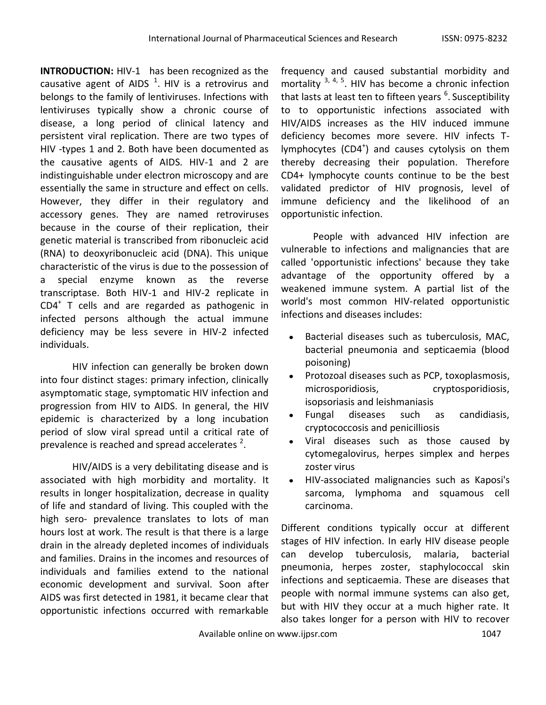**INTRODUCTION:** HIV-1 has been recognized as the causative agent of AIDS  $^1$ . HIV is a retrovirus and belongs to the family of lentiviruses. Infections with lentiviruses typically show a chronic course of disease, a long period of clinical latency and persistent viral replication. There are two types of HIV -types 1 and 2. Both have been documented as the causative agents of AIDS. HIV-1 and 2 are indistinguishable under electron microscopy and are essentially the same in structure and effect on cells. However, they differ in their regulatory and accessory genes. They are named retroviruses because in the course of their replication, their genetic material is transcribed from ribonucleic acid (RNA) to deoxyribonucleic acid (DNA). This unique characteristic of the virus is due to the possession of a special enzyme known as the reverse transcriptase. Both HIV-1 and HIV-2 replicate in CD4<sup>+</sup> T cells and are regarded as pathogenic in infected persons although the actual immune deficiency may be less severe in HIV-2 infected individuals.

HIV infection can generally be broken down into four distinct stages: primary infection, clinically asymptomatic stage, symptomatic HIV infection and progression from HIV to AIDS. In general, the HIV epidemic is characterized by a long incubation period of slow viral spread until a critical rate of prevalence is reached and spread accelerates  $2$ .

HIV/AIDS is a very debilitating disease and is associated with high morbidity and mortality. It results in longer hospitalization, decrease in quality of life and standard of living. This coupled with the high sero- prevalence translates to lots of man hours lost at work. The result is that there is a large drain in the already depleted incomes of individuals and families. Drains in the incomes and resources of individuals and families extend to the national economic development and survival. Soon after AIDS was first detected in 1981, it became clear that opportunistic infections occurred with remarkable

frequency and caused substantial morbidity and mortality  $3, 4, 5$ . HIV has become a chronic infection that lasts at least ten to fifteen years <sup>6</sup>. Susceptibility to to opportunistic infections associated with HIV/AIDS increases as the HIV induced immune deficiency becomes more severe. HIV infects Tlymphocytes (CD4<sup>+</sup>) and causes cytolysis on them thereby decreasing their population. Therefore CD4+ lymphocyte counts continue to be the best validated predictor of HIV prognosis, level of immune deficiency and the likelihood of an opportunistic infection.

People with advanced HIV infection are vulnerable to infections and malignancies that are called 'opportunistic infections' because they take advantage of the opportunity offered by a weakened immune system. A partial list of the world's most common HIV-related opportunistic infections and diseases includes:

- Bacterial diseases such as tuberculosis, MAC, bacterial pneumonia and septicaemia (blood poisoning)
- Protozoal diseases such as PCP, toxoplasmosis, microsporidiosis, cryptosporidiosis, isopsoriasis and leishmaniasis
- Fungal diseases such as candidiasis, cryptococcosis and penicilliosis
- Viral diseases such as those caused by cytomegalovirus, herpes simplex and herpes zoster virus
- HIV-associated malignancies such as Kaposi's sarcoma, lymphoma and squamous cell carcinoma.

Different conditions typically occur at different stages of HIV infection. In early HIV disease people can develop tuberculosis, malaria, bacterial pneumonia, herpes zoster, staphylococcal skin infections and septicaemia. These are diseases that people with normal immune systems can also get, but with HIV they occur at a much higher rate. It also takes longer for a person with HIV to recover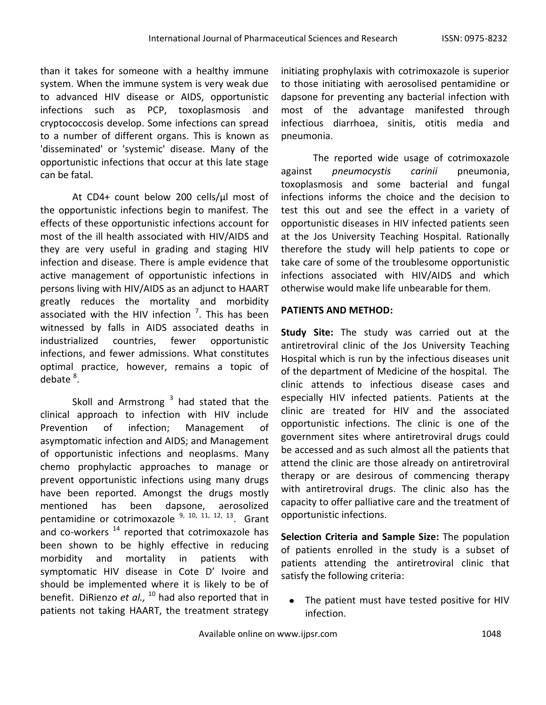than it takes for someone with a healthy immune system. When the immune system is very weak due to advanced HIV disease or AIDS, opportunistic infections such as PCP, toxoplasmosis and cryptococcosis develop. Some infections can spread to a number of different organs. This is known as 'disseminated' or 'systemic' disease. Many of the opportunistic infections that occur at this late stage can be fatal.

At CD4+ count below 200 cells/µl most of the opportunistic infections begin to manifest. The effects of these opportunistic infections account for most of the ill health associated with HIV/AIDS and they are very useful in grading and staging HIV infection and disease. There is ample evidence that active management of opportunistic infections in persons living with HIV/AIDS as an adjunct to HAART greatly reduces the mortality and morbidity associated with the HIV infection  $\frac{7}{1}$ . This has been witnessed by falls in AIDS associated deaths in industrialized countries, fewer opportunistic infections, and fewer admissions. What constitutes optimal practice, however, remains a topic of debate<sup>8</sup>.

Skoll and Armstrong <sup>3</sup> had stated that the clinical approach to infection with HIV include Prevention of infection; Management of asymptomatic infection and AIDS; and Management of opportunistic infections and neoplasms. Many chemo prophylactic approaches to manage or prevent opportunistic infections using many drugs have been reported. Amongst the drugs mostly mentioned has been dapsone, aerosolized pentamidine or cotrimoxazole <sup>9, 10, 11, 12, 13</sup>. Grant and co-workers  $14$  reported that cotrimoxazole has been shown to be highly effective in reducing morbidity and mortality in patients with symptomatic HIV disease in Cote D' Ivoire and should be implemented where it is likely to be of benefit. DiRienzo *et al.,*  <sup>10</sup> had also reported that in patients not taking HAART, the treatment strategy

initiating prophylaxis with cotrimoxazole is superior to those initiating with aerosolised pentamidine or dapsone for preventing any bacterial infection with most of the advantage manifested through infectious diarrhoea, sinitis, otitis media and pneumonia.

The reported wide usage of cotrimoxazole against *pneumocystis carinii* pneumonia, toxoplasmosis and some bacterial and fungal infections informs the choice and the decision to test this out and see the effect in a variety of opportunistic diseases in HIV infected patients seen at the Jos University Teaching Hospital. Rationally therefore the study will help patients to cope or take care of some of the troublesome opportunistic infections associated with HIV/AIDS and which otherwise would make life unbearable for them.

# **PATIENTS AND METHOD:**

**Study Site:** The study was carried out at the antiretroviral clinic of the Jos University Teaching Hospital which is run by the infectious diseases unit of the department of Medicine of the hospital. The clinic attends to infectious disease cases and especially HIV infected patients. Patients at the clinic are treated for HIV and the associated opportunistic infections. The clinic is one of the government sites where antiretroviral drugs could be accessed and as such almost all the patients that attend the clinic are those already on antiretroviral therapy or are desirous of commencing therapy with antiretroviral drugs. The clinic also has the capacity to offer palliative care and the treatment of opportunistic infections.

**Selection Criteria and Sample Size:** The population of patients enrolled in the study is a subset of patients attending the antiretroviral clinic that satisfy the following criteria:

The patient must have tested positive for HIV infection.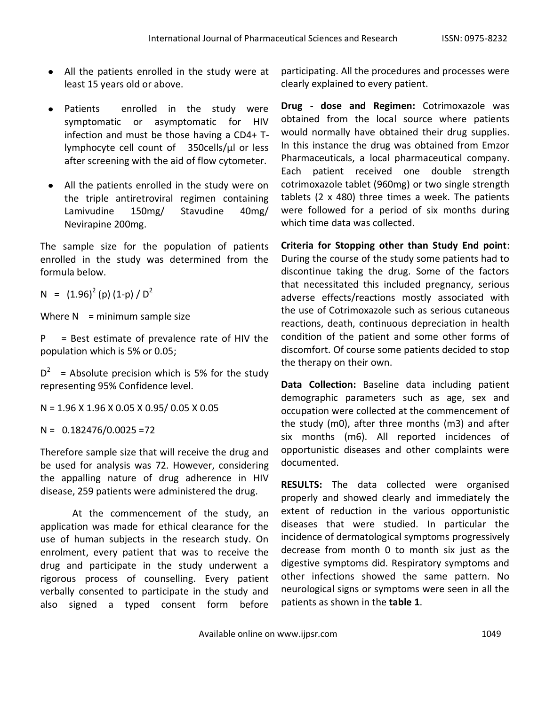- All the patients enrolled in the study were at least 15 years old or above.
- Patients enrolled in the study were symptomatic or asymptomatic for HIV infection and must be those having a CD4+ Tlymphocyte cell count of 350cells/µl or less after screening with the aid of flow cytometer.
- All the patients enrolled in the study were on  $\bullet$ the triple antiretroviral regimen containing Lamivudine 150mg/ Stavudine 40mg/ Nevirapine 200mg.

The sample size for the population of patients enrolled in the study was determined from the formula below.

 $N = (1.96)^2$  (p)  $(1-p) / D^2$ 

Where  $N =$  minimum sample size

 $P = Best$  estimate of prevalence rate of HIV the population which is 5% or 0.05;

 $D^2$  = Absolute precision which is 5% for the study representing 95% Confidence level.

N = 1.96 X 1.96 X 0.05 X 0.95/ 0.05 X 0.05

 $N = 0.182476/0.0025 = 72$ 

Therefore sample size that will receive the drug and be used for analysis was 72. However, considering the appalling nature of drug adherence in HIV disease, 259 patients were administered the drug.

At the commencement of the study, an application was made for ethical clearance for the use of human subjects in the research study. On enrolment, every patient that was to receive the drug and participate in the study underwent a rigorous process of counselling. Every patient verbally consented to participate in the study and also signed a typed consent form before

participating. All the procedures and processes were clearly explained to every patient.

**Drug - dose and Regimen:** Cotrimoxazole was obtained from the local source where patients would normally have obtained their drug supplies. In this instance the drug was obtained from Emzor Pharmaceuticals, a local pharmaceutical company. Each patient received one double strength cotrimoxazole tablet (960mg) or two single strength tablets (2 x 480) three times a week. The patients were followed for a period of six months during which time data was collected.

**Criteria for Stopping other than Study End point**: During the course of the study some patients had to discontinue taking the drug. Some of the factors that necessitated this included pregnancy, serious adverse effects/reactions mostly associated with the use of Cotrimoxazole such as serious cutaneous reactions, death, continuous depreciation in health condition of the patient and some other forms of discomfort. Of course some patients decided to stop the therapy on their own.

**Data Collection:** Baseline data including patient demographic parameters such as age, sex and occupation were collected at the commencement of the study (m0), after three months (m3) and after six months (m6). All reported incidences of opportunistic diseases and other complaints were documented.

**RESULTS:** The data collected were organised properly and showed clearly and immediately the extent of reduction in the various opportunistic diseases that were studied. In particular the incidence of dermatological symptoms progressively decrease from month 0 to month six just as the digestive symptoms did. Respiratory symptoms and other infections showed the same pattern. No neurological signs or symptoms were seen in all the patients as shown in the **table 1**.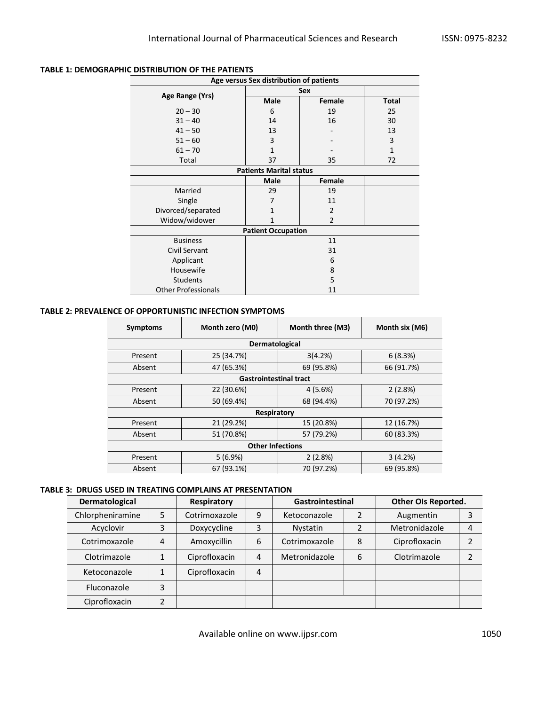| Age versus Sex distribution of patients |                     |                |              |  |  |  |  |
|-----------------------------------------|---------------------|----------------|--------------|--|--|--|--|
|                                         | Sex                 |                |              |  |  |  |  |
| Age Range (Yrs)                         | <b>Male</b>         | Female         | <b>Total</b> |  |  |  |  |
| $20 - 30$                               | 6                   | 19             | 25           |  |  |  |  |
| $31 - 40$                               | 14                  | 16             | 30           |  |  |  |  |
| $41 - 50$                               | 13                  |                | 13           |  |  |  |  |
| $51 - 60$                               | 3                   |                | 3            |  |  |  |  |
| $61 - 70$                               | 1                   |                | $\mathbf{1}$ |  |  |  |  |
| Total                                   | 37                  | 35             | 72           |  |  |  |  |
| <b>Patients Marital status</b>          |                     |                |              |  |  |  |  |
|                                         | <b>Male</b>         | Female         |              |  |  |  |  |
| Married                                 | 29<br>19            |                |              |  |  |  |  |
| Single                                  | 7<br>11             |                |              |  |  |  |  |
| Divorced/separated                      | $\overline{2}$<br>1 |                |              |  |  |  |  |
| Widow/widower                           |                     | $\overline{2}$ |              |  |  |  |  |
| <b>Patient Occupation</b>               |                     |                |              |  |  |  |  |
| <b>Business</b>                         |                     | 11             |              |  |  |  |  |
| <b>Civil Servant</b>                    | 31                  |                |              |  |  |  |  |
| Applicant                               | 6                   |                |              |  |  |  |  |
| Housewife                               | 8                   |                |              |  |  |  |  |
| <b>Students</b>                         | 5                   |                |              |  |  |  |  |
| <b>Other Professionals</b>              | 11                  |                |              |  |  |  |  |

## **TABLE 1: DEMOGRAPHIC DISTRIBUTION OF THE PATIENTS**

#### **TABLE 2: PREVALENCE OF OPPORTUNISTIC INFECTION SYMPTOMS**

| <b>Symptoms</b>               | Month zero (M0) | Month three (M3) | Month six (M6) |  |  |  |
|-------------------------------|-----------------|------------------|----------------|--|--|--|
| Dermatological                |                 |                  |                |  |  |  |
| Present                       | 25 (34.7%)      | 3(4.2%)          | 6(8.3%)        |  |  |  |
| Absent                        | 47 (65.3%)      | 69 (95.8%)       | 66 (91.7%)     |  |  |  |
| <b>Gastrointestinal tract</b> |                 |                  |                |  |  |  |
| Present                       | 22 (30.6%)      | 4(5.6%)          | 2(2.8%)        |  |  |  |
| Absent                        | 50 (69.4%)      | 68 (94.4%)       | 70 (97.2%)     |  |  |  |
| Respiratory                   |                 |                  |                |  |  |  |
| Present                       | 21 (29.2%)      | 15 (20.8%)       | 12 (16.7%)     |  |  |  |
| Absent                        | 51 (70.8%)      | 57 (79.2%)       | 60 (83.3%)     |  |  |  |
| <b>Other Infections</b>       |                 |                  |                |  |  |  |
| Present                       | 5(6.9%)         | 2(2.8%)          | 3(4.2%)        |  |  |  |
| Absent                        | 67 (93.1%)      | 70 (97.2%)       | 69 (95.8%)     |  |  |  |

#### **TABLE 3: DRUGS USED IN TREATING COMPLAINS AT PRESENTATION**

| Dermatological   |   | Respiratory   |                | Gastrointestinal |   | Other OIs Reported. |   |
|------------------|---|---------------|----------------|------------------|---|---------------------|---|
| Chlorpheniramine | 5 | Cotrimoxazole | 9              | Ketoconazole     |   | Augmentin           | 3 |
| Acyclovir        | 3 | Doxycycline   | 3              | <b>Nystatin</b>  |   | Metronidazole       | 4 |
| Cotrimoxazole    | 4 | Amoxycillin   | 6              | Cotrimoxazole    | 8 | Ciprofloxacin       |   |
| Clotrimazole     |   | Ciprofloxacin | 4              | Metronidazole    | 6 | Clotrimazole        |   |
| Ketoconazole     |   | Ciprofloxacin | $\overline{4}$ |                  |   |                     |   |
| Fluconazole      | 3 |               |                |                  |   |                     |   |
| Ciprofloxacin    |   |               |                |                  |   |                     |   |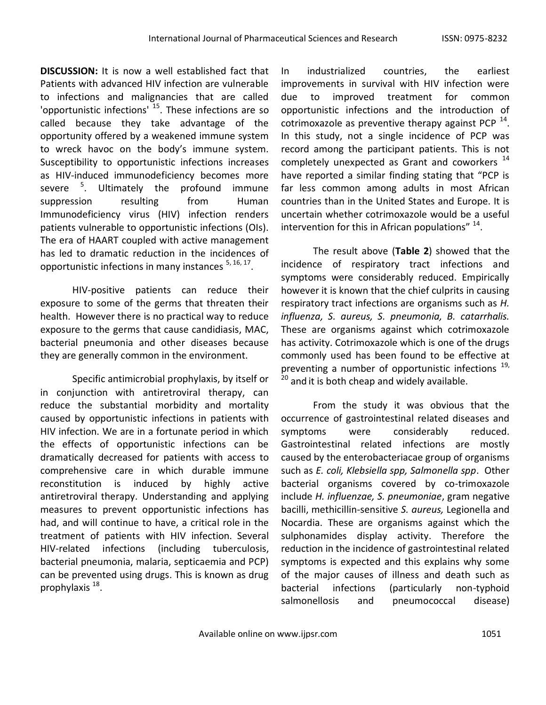**DISCUSSION:** It is now a well established fact that Patients with advanced HIV infection are vulnerable to infections and malignancies that are called 'opportunistic infections' <sup>15</sup>. These infections are so called because they take advantage of the opportunity offered by a weakened immune system to wreck havoc on the body's immune system. Susceptibility to opportunistic infections increases as HIV-induced immunodeficiency becomes more severe <sup>5</sup>. Ultimately the profound immune suppression resulting from Human Immunodeficiency virus (HIV) infection renders patients vulnerable to opportunistic infections (OIs). The era of HAART coupled with active management has led to dramatic reduction in the incidences of opportunistic infections in many instances <sup>5, 16, 17</sup>.

HIV-positive patients can reduce their exposure to some of the germs that threaten their health. However there is no practical way to reduce exposure to the germs that cause candidiasis, MAC, bacterial pneumonia and other diseases because they are generally common in the environment.

Specific antimicrobial prophylaxis, by itself or in conjunction with antiretroviral therapy, can reduce the substantial morbidity and mortality caused by opportunistic infections in patients with HIV infection. We are in a fortunate period in which the effects of opportunistic infections can be dramatically decreased for patients with access to comprehensive care in which durable immune reconstitution is induced by highly active antiretroviral therapy. Understanding and applying measures to prevent opportunistic infections has had, and will continue to have, a critical role in the treatment of patients with HIV infection. Several HIV-related infections (including tuberculosis, bacterial pneumonia, malaria, septicaemia and PCP) can be prevented using drugs. This is known as drug prophylaxis<sup>18</sup>.

In industrialized countries, the earliest improvements in survival with HIV infection were due to improved treatment for common opportunistic infections and the introduction of cotrimoxazole as preventive therapy against PCP  $^{14}$ . In this study, not a single incidence of PCP was record among the participant patients. This is not completely unexpected as Grant and coworkers  $14$ have reported a similar finding stating that "PCP is far less common among adults in most African countries than in the United States and Europe. It is uncertain whether cotrimoxazole would be a useful intervention for this in African populations"  $^{14}$ .

The result above (**Table 2**) showed that the incidence of respiratory tract infections and symptoms were considerably reduced. Empirically however it is known that the chief culprits in causing respiratory tract infections are organisms such as *H. influenza, S. aureus, S. pneumonia, B. catarrhalis.*  These are organisms against which cotrimoxazole has activity. Cotrimoxazole which is one of the drugs commonly used has been found to be effective at preventing a number of opportunistic infections  $^{19}$ ,  $20$  and it is both cheap and widely available.

From the study it was obvious that the occurrence of gastrointestinal related diseases and symptoms were considerably reduced. Gastrointestinal related infections are mostly caused by the enterobacteriacae group of organisms such as *E. coli, Klebsiella spp, Salmonella spp*. Other bacterial organisms covered by co-trimoxazole include *H. influenzae, S. pneumoniae*, gram negative bacilli, methicillin-sensitive *S. aureus,* Legionella and Nocardia. These are organisms against which the sulphonamides display activity. Therefore the reduction in the incidence of gastrointestinal related symptoms is expected and this explains why some of the major causes of illness and death such as bacterial infections (particularly non-typhoid salmonellosis and pneumococcal disease)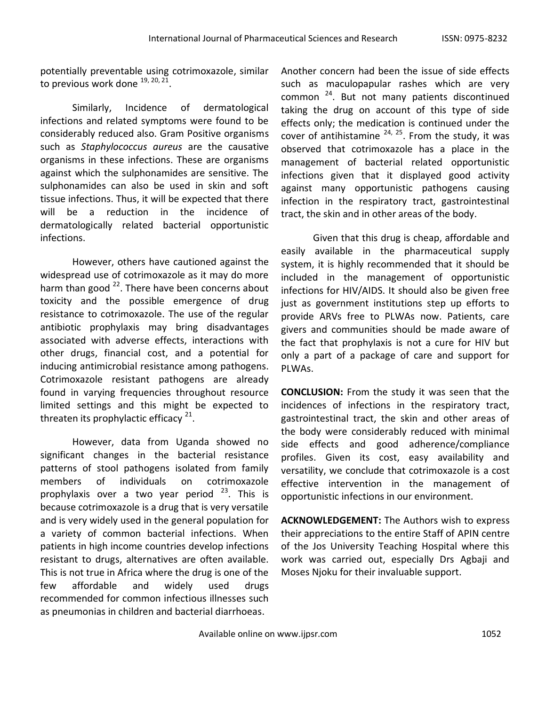potentially preventable using cotrimoxazole, similar to previous work done  $^{19, 20, 21}$ .

Similarly, Incidence of dermatological infections and related symptoms were found to be considerably reduced also. Gram Positive organisms such as *Staphylococcus aureus* are the causative organisms in these infections. These are organisms against which the sulphonamides are sensitive. The sulphonamides can also be used in skin and soft tissue infections. Thus, it will be expected that there will be a reduction in the incidence of dermatologically related bacterial opportunistic infections.

However, others have cautioned against the widespread use of cotrimoxazole as it may do more harm than good <sup>22</sup>. There have been concerns about toxicity and the possible emergence of drug resistance to cotrimoxazole. The use of the regular antibiotic prophylaxis may bring disadvantages associated with adverse effects, interactions with other drugs, financial cost, and a potential for inducing antimicrobial resistance among pathogens. Cotrimoxazole resistant pathogens are already found in varying frequencies throughout resource limited settings and this might be expected to threaten its prophylactic efficacy  $21$ .

However, data from Uganda showed no significant changes in the bacterial resistance patterns of stool pathogens isolated from family members of individuals on cotrimoxazole prophylaxis over a two year period  $23$ . This is because cotrimoxazole is a drug that is very versatile and is very widely used in the general population for a variety of common bacterial infections. When patients in high income countries develop infections resistant to drugs, alternatives are often available. This is not true in Africa where the drug is one of the few affordable and widely used drugs recommended for common infectious illnesses such as pneumonias in children and bacterial diarrhoeas.

Another concern had been the issue of side effects such as maculopapular rashes which are very common <sup>24</sup>. But not many patients discontinued taking the drug on account of this type of side effects only; the medication is continued under the cover of antihistamine  $^{24, 25}$ . From the study, it was observed that cotrimoxazole has a place in the management of bacterial related opportunistic infections given that it displayed good activity against many opportunistic pathogens causing infection in the respiratory tract, gastrointestinal tract, the skin and in other areas of the body.

Given that this drug is cheap, affordable and easily available in the pharmaceutical supply system, it is highly recommended that it should be included in the management of opportunistic infections for HIV/AIDS. It should also be given free just as government institutions step up efforts to provide ARVs free to PLWAs now. Patients, care givers and communities should be made aware of the fact that prophylaxis is not a cure for HIV but only a part of a package of care and support for PLWAs.

**CONCLUSION:** From the study it was seen that the incidences of infections in the respiratory tract, gastrointestinal tract, the skin and other areas of the body were considerably reduced with minimal side effects and good adherence/compliance profiles. Given its cost, easy availability and versatility, we conclude that cotrimoxazole is a cost effective intervention in the management of opportunistic infections in our environment.

**ACKNOWLEDGEMENT:** The Authors wish to express their appreciations to the entire Staff of APIN centre of the Jos University Teaching Hospital where this work was carried out, especially Drs Agbaji and Moses Njoku for their invaluable support.